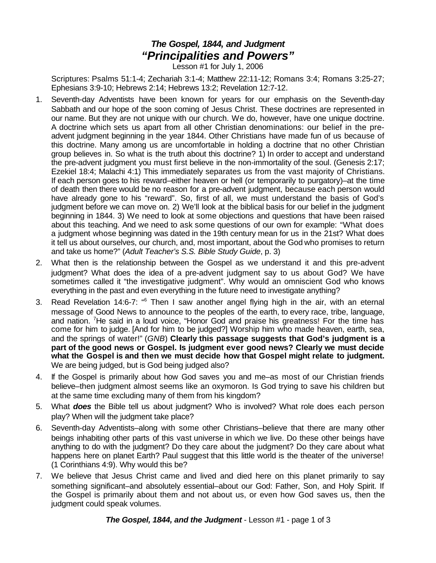## *The Gospel, 1844, and Judgment "Principalities and Powers"*

Lesson #1 for July 1, 2006

Scriptures: Psalms 51:1-4; Zechariah 3:1-4; Matthew 22:11-12; Romans 3:4; Romans 3:25-27; Ephesians 3:9-10; Hebrews 2:14; Hebrews 13:2; Revelation 12:7-12.

- 1. Seventh-day Adventists have been known for years for our emphasis on the Seventh-day Sabbath and our hope of the soon coming of Jesus Christ. These doctrines are represented in our name. But they are not unique with our church. We do, however, have one unique doctrine. A doctrine which sets us apart from all other Christian denominations: our belief in the preadvent judgment beginning in the year 1844. Other Christians have made fun of us because of this doctrine. Many among us are uncomfortable in holding a doctrine that no other Christian group believes in. So what is the truth about this doctrine? 1) In order to accept and understand the pre-advent judgment you must first believe in the non-immortality of the soul. (Genesis 2:17; Ezekiel 18:4; Malachi 4:1) This immediately separates us from the vast majority of Christians. If each person goes to his reward–either heaven or hell (or temporarily to purgatory)–at the time of death then there would be no reason for a pre-advent judgment, because each person would have already gone to his "reward". So, first of all, we must understand the basis of God's judgment before we can move on. 2) We'll look at the biblical basis for our belief in the judgment beginning in 1844. 3) We need to look at some objections and questions that have been raised about this teaching. And we need to ask some questions of our own for example: "What does a judgment whose beginning was dated in the 19th century mean for us in the 21st? What does it tell us about ourselves, our church, and, most important, about the God who promises to return and take us home?" (*Adult Teacher's S.S. Bible Study Guide*, p. 3)
- 2. What then is the relationship between the Gospel as we understand it and this pre-advent judgment? What does the idea of a pre-advent judgment say to us about God? We have sometimes called it "the investigative judgment". Why would an omniscient God who knows everything in the past and even everything in the future need to investigate anything?
- 3. Read Revelation 14:6-7: "<sup>6</sup> Then I saw another angel flying high in the air, with an eternal message of Good News to announce to the peoples of the earth, to every race, tribe, language, and nation. <sup>7</sup>He said in a loud voice, "Honor God and praise his greatness! For the time has come for him to judge. [And for him to be judged?] Worship him who made heaven, earth, sea, and the springs of water!" (*GNB*) **Clearly this passage suggests that God's judgment is a part of the good news or Gospel. Is judgment ever good news? Clearly we must decide what the Gospel is and then we must decide how that Gospel might relate to judgment.** We are being judged, but is God being judged also?
- 4. If the Gospel is primarily about how God saves you and me–as most of our Christian friends believe–then judgment almost seems like an oxymoron. Is God trying to save his children but at the same time excluding many of them from his kingdom?
- 5. What *does* the Bible tell us about judgment? Who is involved? What role does each person play? When will the judgment take place?
- 6. Seventh-day Adventists–along with some other Christians–believe that there are many other beings inhabiting other parts of this vast universe in which we live. Do these other beings have anything to do with the judgment? Do they care about the judgment? Do they care about what happens here on planet Earth? Paul suggest that this little world is the theater of the universe! (1 Corinthians 4:9). Why would this be?
- 7. We believe that Jesus Christ came and lived and died here on this planet primarily to say something significant–and absolutely essential–about our God: Father, Son, and Holy Spirit. If the Gospel is primarily about them and not about us, or even how God saves us, then the judgment could speak volumes.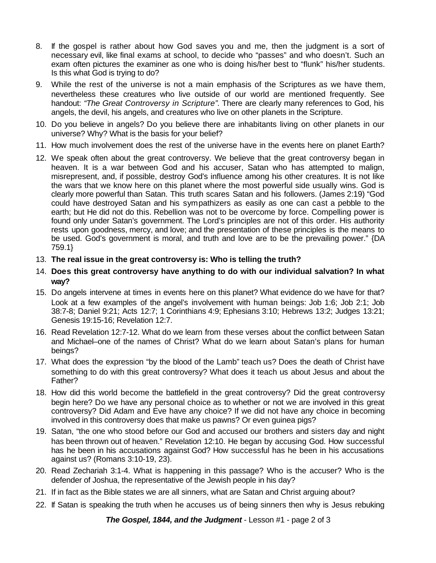- 8. If the gospel is rather about how God saves you and me, then the judgment is a sort of necessary evil, like final exams at school, to decide who "passes" and who doesn't. Such an exam often pictures the examiner as one who is doing his/her best to "flunk" his/her students. Is this what God is trying to do?
- 9. While the rest of the universe is not a main emphasis of the Scriptures as we have them, nevertheless these creatures who live outside of our world are mentioned frequently. See handout: *"The Great Controversy in Scripture"*. There are clearly many references to God, his angels, the devil, his angels, and creatures who live on other planets in the Scripture.
- 10. Do you believe in angels? Do you believe there are inhabitants living on other planets in our universe? Why? What is the basis for your belief?
- 11. How much involvement does the rest of the universe have in the events here on planet Earth?
- 12. We speak often about the great controversy. We believe that the great controversy began in heaven. It is a war between God and his accuser, Satan who has attempted to malign, misrepresent, and, if possible, destroy God's influence among his other creatures. It is not like the wars that we know here on this planet where the most powerful side usually wins. God is clearly more powerful than Satan. This truth scares Satan and his followers. (James 2:19) "God could have destroyed Satan and his sympathizers as easily as one can cast a pebble to the earth; but He did not do this. Rebellion was not to be overcome by force. Compelling power is found only under Satan's government. The Lord's principles are not of this order. His authority rests upon goodness, mercy, and love; and the presentation of these principles is the means to be used. God's government is moral, and truth and love are to be the prevailing power." {DA 759.1}
- 13. **The real issue in the great controversy is: Who is telling the truth?**
- 14. **Does this great controversy have anything to do with our individual salvation? In what way?**
- 15. Do angels intervene at times in events here on this planet? What evidence do we have for that? Look at a few examples of the angel's involvement with human beings: Job 1:6; Job 2:1; Job 38:7-8; Daniel 9:21; Acts 12:7; 1 Corinthians 4:9; Ephesians 3:10; Hebrews 13:2; Judges 13:21; Genesis 19:15-16; Revelation 12:7.
- 16. Read Revelation 12:7-12. What do we learn from these verses about the conflict between Satan and Michael–one of the names of Christ? What do we learn about Satan's plans for human beings?
- 17. What does the expression "by the blood of the Lamb" teach us? Does the death of Christ have something to do with this great controversy? What does it teach us about Jesus and about the Father?
- 18. How did this world become the battlefield in the great controversy? Did the great controversy begin here? Do we have any personal choice as to whether or not we are involved in this great controversy? Did Adam and Eve have any choice? If we did not have any choice in becoming involved in this controversy does that make us pawns? Or even guinea pigs?
- 19. Satan, "the one who stood before our God and accused our brothers and sisters day and night has been thrown out of heaven." Revelation 12:10. He began by accusing God. How successful has he been in his accusations against God? How successful has he been in his accusations against us? (Romans 3:10-19, 23).
- 20. Read Zechariah 3:1-4. What is happening in this passage? Who is the accuser? Who is the defender of Joshua, the representative of the Jewish people in his day?
- 21. If in fact as the Bible states we are all sinners, what are Satan and Christ arguing about?
- 22. If Satan is speaking the truth when he accuses us of being sinners then why is Jesus rebuking

*The Gospel, 1844, and the Judgment* - Lesson #1 - page 2 of 3